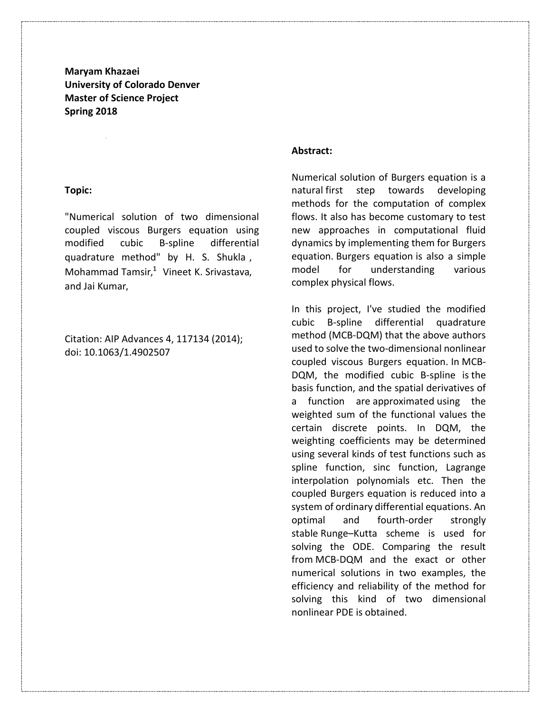**Maryam Khazaei University of Colorado Denver Master of Science Project Spring 2018**

#### **Topic:**

"Numerical solution of two dimensional coupled viscous Burgers equation using modified cubic B-spline differential quadrature method" by H. S. Shukla , Mohammad Tamsir, <sup>1</sup> Vineet K. Srivastava, and Jai Kumar,

Citation: AIP Advances 4, 117134 (2014); doi: 10.1063/1.4902507

## **Abstract:**

Numerical solution of Burgers equation is a natural first step towards developing methods for the computation of complex flows. It also has become customary to test new approaches in computational fluid dynamics by implementing them for Burgers equation. Burgers equation is also a simple model for understanding various complex physical flows.

In this project, I've studied the modified cubic B-spline differential quadrature method (MCB-DQM) that the above authors used to solve the two-dimensional nonlinear coupled viscous Burgers equation. In MCB-DQM, the modified cubic B-spline is the basis function, and the spatial derivatives of a function are approximated using the weighted sum of the functional values the certain discrete points. In DQM, the weighting coefficients may be determined using several kinds of test functions such as spline function, sinc function, Lagrange interpolation polynomials etc. Then the coupled Burgers equation is reduced into a system of ordinary differential equations. An optimal and fourth-order strongly stable Runge–Kutta scheme is used for solving the ODE. Comparing the result from MCB-DQM and the exact or other numerical solutions in two examples, the efficiency and reliability of the method for solving this kind of two dimensional nonlinear PDE is obtained.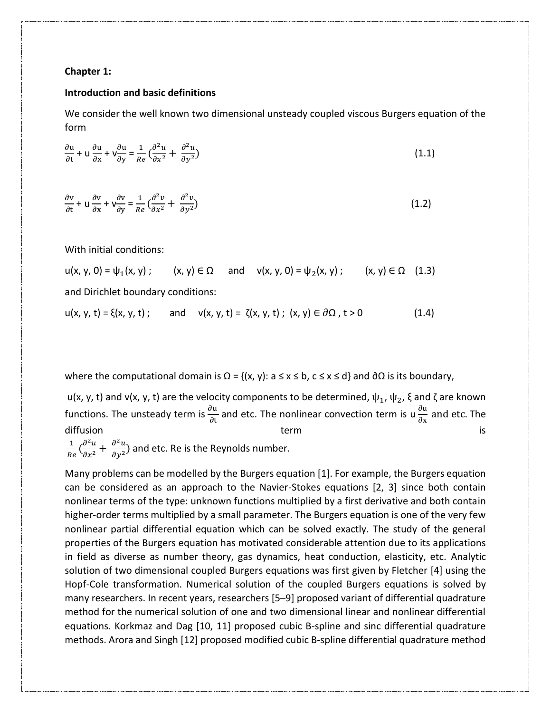#### **Chapter 1:**

#### **Introduction and basic definitions**

We consider the well known two dimensional unsteady coupled viscous Burgers equation of the form

$$
\frac{\partial u}{\partial t} + u \frac{\partial u}{\partial x} + v \frac{\partial u}{\partial y} = \frac{1}{Re} \left( \frac{\partial^2 u}{\partial x^2} + \frac{\partial^2 u}{\partial y^2} \right)
$$
(1.1)

$$
\frac{\partial v}{\partial t} + u \frac{\partial v}{\partial x} + v \frac{\partial v}{\partial y} = \frac{1}{Re} \left( \frac{\partial^2 v}{\partial x^2} + \frac{\partial^2 v}{\partial y^2} \right)
$$
(1.2)

With initial conditions:

 $u(x, y, 0) = \psi_1(x, y)$ ;  $(x, y) \in \Omega$  and  $v(x, y, 0) = \psi_2(x, y)$ ;  $(x, y) \in \Omega$  (1.3) and Dirichlet boundary conditions:

$$
u(x, y, t) = \xi(x, y, t); \quad \text{and} \quad v(x, y, t) = \zeta(x, y, t); \ (x, y) \in \partial \Omega, t > 0 \tag{1.4}
$$

where the computational domain is  $\Omega = \{(x, y): a \le x \le b, c \le x \le d\}$  and  $\partial \Omega$  is its boundary,

u(x, y, t) and v(x, y, t) are the velocity components to be determined,  $\psi_1$ ,  $\psi_2$ ,  $\xi$  and  $\zeta$  are known functions. The unsteady term is  $\frac{\partial u}{\partial t}$  and etc. The nonlinear convection term is u $\frac{\partial u}{\partial x}$  $\frac{\partial u}{\partial x}$  and etc. The diffusion term term term is 1

 $\frac{1}{Re}$   $\left(\frac{\partial^2 u}{\partial x^2}\right)$  $\frac{\partial^2 u}{\partial x^2} + \frac{\partial^2 u}{\partial y^2}$  $\frac{\partial u}{\partial y^2}$ ) and etc. Re is the Reynolds number.

Many problems can be modelled by the Burgers equation [1]. For example, the Burgers equation can be considered as an approach to the Navier-Stokes equations [2, 3] since both contain nonlinear terms of the type: unknown functions multiplied by a first derivative and both contain higher-order terms multiplied by a small parameter. The Burgers equation is one of the very few nonlinear partial differential equation which can be solved exactly. The study of the general properties of the Burgers equation has motivated considerable attention due to its applications in field as diverse as number theory, gas dynamics, heat conduction, elasticity, etc. Analytic solution of two dimensional coupled Burgers equations was first given by Fletcher [4] using the Hopf-Cole transformation. Numerical solution of the coupled Burgers equations is solved by many researchers. In recent years, researchers [5–9] proposed variant of differential quadrature method for the numerical solution of one and two dimensional linear and nonlinear differential equations. Korkmaz and Dag [10, 11] proposed cubic B-spline and sinc differential quadrature methods. Arora and Singh [12] proposed modified cubic B-spline differential quadrature method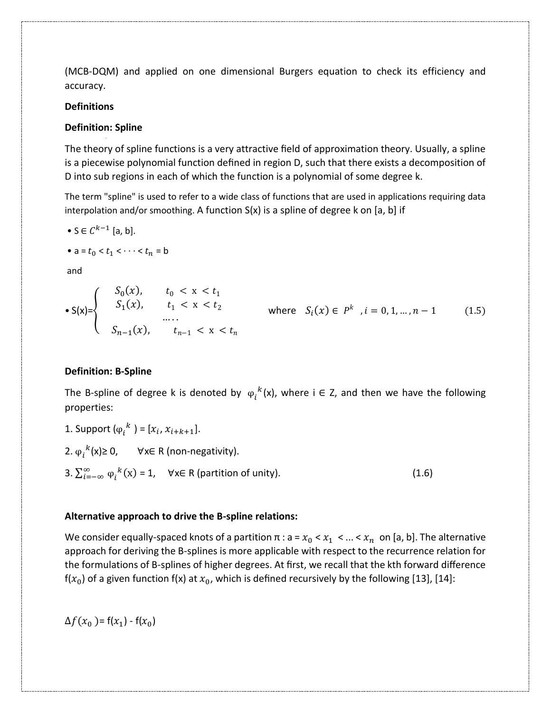(MCB-DQM) and applied on one dimensional Burgers equation to check its efficiency and accuracy.

# **Definitions**

# **Definition: Spline**

The theory of spline functions is a very attractive field of approximation theory. Usually, a spline is a piecewise polynomial function defined in region D, such that there exists a decomposition of D into sub regions in each of which the function is a polynomial of some degree k.

The term "spline" is used to refer to a wide class of functions that are used in applications requiring data interpolation and/or smoothing. A function  $S(x)$  is a spline of degree k on [a, b] if

• 
$$
S \in C^{k-1}
$$
 [a, b].

$$
\bullet a = t_0 < t_1 < \cdots < t_n = b
$$

and

$$
\bullet S(x) = \begin{cases} S_0(x), & t_0 < x < t_1 \\ S_1(x), & t_1 < x < t_2 \\ \dots \\ S_{n-1}(x), & t_{n-1} < x < t_n \end{cases} \quad \text{where} \quad S_i(x) \in P^k, i = 0, 1, \dots, n-1 \quad (1.5)
$$

# **Definition: B-Spline**

The B-spline of degree k is denoted by  $\varphi_i^k(x)$ , where i  $\in$  Z, and then we have the following properties:

1. Support  $(\varphi_i^k) = [x_i, x_{i+k+1}].$ 2.  $\varphi_i^k(x) \geq 0$ ,  $\forall x \in R$  (non-negativity). 3.  $\sum_{i=-\infty}^{\infty} \varphi_i^k(x) = 1$ ,  $\forall x \in R$  (partition of unity). (1.6)

# **Alternative approach to drive the B-spline relations:**

We consider equally-spaced knots of a partition  $\pi$  : a =  $x_0 < x_1 < ... < x_n$  on [a, b]. The alternative approach for deriving the B-splines is more applicable with respect to the recurrence relation for the formulations of B-splines of higher degrees. At first, we recall that the kth forward difference  $f(x_0)$  of a given function  $f(x)$  at  $x_0$ , which is defined recursively by the following [13], [14]:

 $\Delta f(x_0) = f(x_1) - f(x_0)$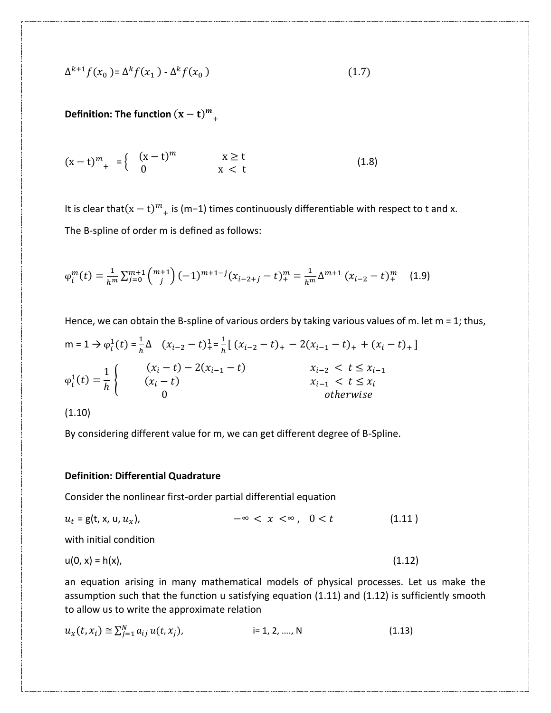$$
\Delta^{k+1} f(x_0) = \Delta^k f(x_1) - \Delta^k f(x_0)
$$
\n
$$
(1.7)
$$

**Definition: The function**  $(x - t)^m$ +

$$
(x-t)^m_{+} = \begin{cases} (x-t)^m & x \ge t \\ 0 & x < t \end{cases}
$$
 (1.8)

It is clear that $(x - t)^m$ <sub>+</sub> is (m−1) times continuously differentiable with respect to t and x. The B-spline of order m is defined as follows:

$$
\varphi_i^m(t) = \frac{1}{h^m} \sum_{j=0}^{m+1} \binom{m+1}{j} (-1)^{m+1-j} (x_{i-2+j} - t)^m + \frac{1}{h^m} \Delta^{m+1} (x_{i-2} - t)^m + \tag{1.9}
$$

Hence, we can obtain the B-spline of various orders by taking various values of m. let  $m = 1$ ; thus,  $m = 1 \Rightarrow \varphi_i^1(t) = \frac{1}{h}$  $\frac{1}{h}\Delta$   $(x_{i-2} - t)^{1}_{+} = \frac{1}{h}$  $\frac{1}{h}$ [ $(x_{i-2} - t)$ <sub>+</sub> - 2 $(x_{i-1} - t)$ <sub>+</sub> +  $(x_i - t)$ <sub>+</sub>]  $\varphi_i^1(t) =$ 1 ℎ {  $(x_i - t) - 2(x_{i-1} - t)$   $x_{i-2} < t \le x_{i-1}$  $(x_i - t)$   $x_{i-1} < t \leq x_i$ 0 otherwise

(1.10)

By considering different value for m, we can get different degree of B-Spline.

### **Definition: Differential Quadrature**

Consider the nonlinear first-order partial differential equation

$$
u_t = g(t, x, u, u_x), \qquad -\infty < x < \infty, \quad 0 < t \tag{1.11}
$$

with initial condition

$$
u(0, x) = h(x),
$$
 (1.12)

an equation arising in many mathematical models of physical processes. Let us make the assumption such that the function u satisfying equation (1.11) and (1.12) is sufficiently smooth to allow us to write the approximate relation

$$
u_x(t, x_i) \cong \sum_{j=1}^N a_{ij} u(t, x_j), \qquad \qquad \text{is } 1, 2, ..., N \tag{1.13}
$$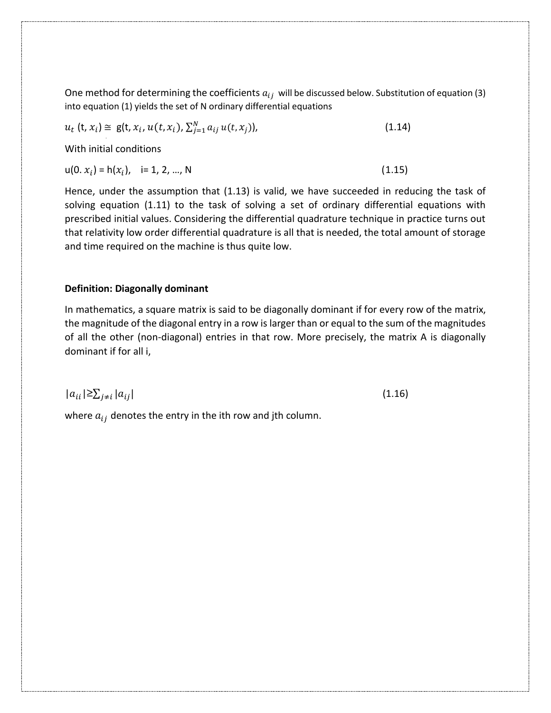One method for determining the coefficients  $a_{ij}$  will be discussed below. Substitution of equation (3) into equation (1) yields the set of N ordinary differential equations

 $u_t$  (t,  $x_i$ )  $\cong$  g(t,  $x_i$ ,  $u(t, x_i)$ ,  $\sum_{j=1}^{N} a_{ij} u(t, x_j)$  $(1.14)$ 

With initial conditions

 $u(0, x_i) = h(x_i), \quad i= 1, 2, ..., N$  (1.15)

Hence, under the assumption that (1.13) is valid, we have succeeded in reducing the task of solving equation (1.11) to the task of solving a set of ordinary differential equations with prescribed initial values. Considering the differential quadrature technique in practice turns out that relativity low order differential quadrature is all that is needed, the total amount of storage and time required on the machine is thus quite low.

# **Definition: Diagonally dominant**

In mathematics, a square matrix is said to be diagonally dominant if for every row of the matrix, the magnitude of the diagonal entry in a row is larger than or equal to the sum of the magnitudes of all the other (non-diagonal) entries in that row. More precisely, the matrix A is diagonally dominant if for all i,

 $|a_{ii}| \geq \sum_{i \neq i} |a_{ij}|$ (1.16)

where  $a_{ij}$  denotes the entry in the ith row and jth column.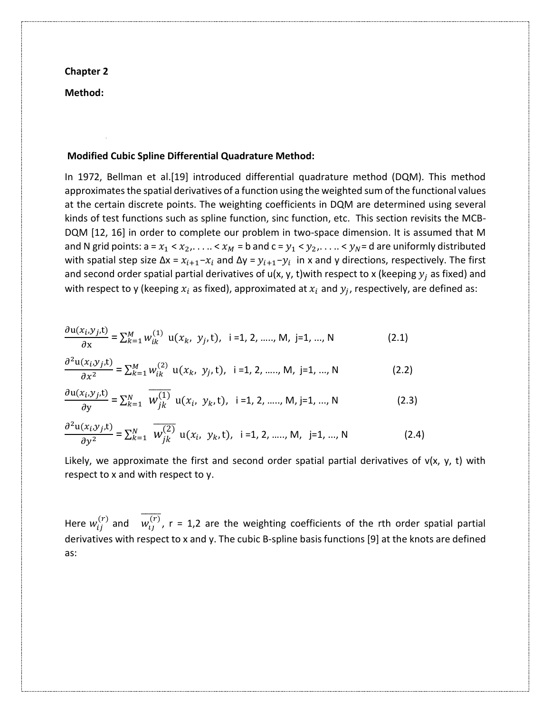**Chapter 2**

**Method:**

### **Modified Cubic Spline Differential Quadrature Method:**

In 1972, Bellman et al.[19] introduced differential quadrature method (DQM). This method approximates the spatial derivatives of a function using the weighted sum of the functional values at the certain discrete points. The weighting coefficients in DQM are determined using several kinds of test functions such as spline function, sinc function, etc. This section revisits the MCB-DQM [12, 16] in order to complete our problem in two-space dimension. It is assumed that M and N grid points:  $a = x_1 < x_2, \ldots < x_M = b$  and  $c = y_1 < y_2, \ldots < y_N = d$  are uniformly distributed with spatial step size  $\Delta x = x_{i+1} - x_i$  and  $\Delta y = y_{i+1} - y_i$  in x and y directions, respectively. The first and second order spatial partial derivatives of  $u(x, y, t)$  with respect to x (keeping  $y_i$  as fixed) and with respect to y (keeping  $x_i$  as fixed), approximated at  $x_i$  and  $y_j$ , respectively, are defined as:

$$
\frac{\partial u(x_i, y_j, t)}{\partial x} = \sum_{k=1}^{M} w_{ik}^{(1)} u(x_k, y_j, t), \quad i = 1, 2, \dots, M, j = 1, \dots, N
$$
 (2.1)

$$
\frac{\partial^2 \mathbf{u}(x_i, y_j, \mathbf{t})}{\partial x^2} = \sum_{k=1}^M w_{ik}^{(2)} \mathbf{u}(x_k, y_j, \mathbf{t}), \quad \mathbf{i} = 1, 2, \dots, M, \quad \mathbf{j} = 1, \dots, N
$$
 (2.2)

$$
\frac{\partial u(x_i, y_j, t)}{\partial y} = \sum_{k=1}^{N} \overline{W_{jk}^{(1)}} u(x_i, y_k, t), \quad i = 1, 2, \dots, M, j = 1, \dots, N
$$
 (2.3)

$$
\frac{\partial^2 \mathbf{u}(x_i, y_j, t)}{\partial y^2} = \sum_{k=1}^N \overline{W_{jk}^{(2)}} \mathbf{u}(x_i, y_k, t), \quad i = 1, 2, \dots, M, \quad j = 1, \dots, N
$$
 (2.4)

Likely, we approximate the first and second order spatial partial derivatives of  $v(x, y, t)$  with respect to x and with respect to y.

Here  $w_{ij}^{(r)}$  and  $\overline{w_{ij}^{(r)}}$ , r = 1,2 are the weighting coefficients of the rth order spatial partial derivatives with respect to x and y. The cubic B-spline basis functions [9] at the knots are defined as: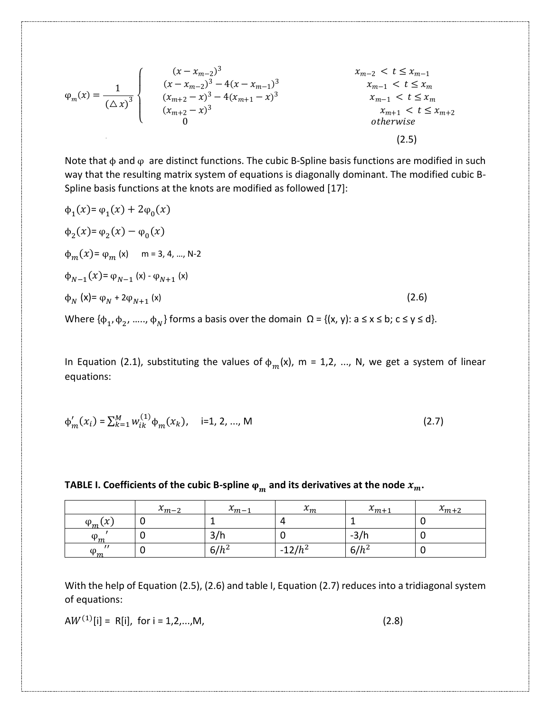$$
\varphi_{m}(x) = \frac{1}{(\Delta x)^{3}} \begin{cases} \n\begin{cases} (x - x_{m-2})^{3} & x_{m-2} < t \leq x_{m-1} \\ (x - x_{m-2})^{3} - 4(x - x_{m-1})^{3} & x_{m-1} < t \leq x_{m} \\ (x_{m+2} - x)^{3} - 4(x_{m+1} - x)^{3} & x_{m-1} < t \leq x_{m} \\ 0 & 0 \end{cases} \\ \n\begin{cases} (x - x_{m-2})^{3} - 4(x - x_{m-1})^{3} & x_{m-1} < t \leq x_{m} \\ (x_{m+2} - x)^{3} & x_{m+1} < t \leq x_{m+2} \\ 0 & \text{otherwise} \end{cases} \tag{2.5}
$$

Note that  $\phi$  and  $\phi$  are distinct functions. The cubic B-Spline basis functions are modified in such way that the resulting matrix system of equations is diagonally dominant. The modified cubic B-Spline basis functions at the knots are modified as followed [17]:

$$
\phi_1(x) = \phi_1(x) + 2\phi_0(x)
$$
  
\n
$$
\phi_2(x) = \phi_2(x) - \phi_0(x)
$$
  
\n
$$
\phi_m(x) = \phi_m(x) \quad m = 3, 4, ..., N-2
$$
  
\n
$$
\phi_{N-1}(x) = \phi_{N-1}(x) - \phi_{N+1}(x)
$$
  
\n
$$
\phi_N(x) = \phi_N + 2\phi_{N+1}(x)
$$
\n(2.6)

Where  $\{\phi_1, \phi_2, \, ...., \, \phi_N\}$  forms a basis over the domain  $\Omega$  = {(x, y): a  $\leq$  x  $\leq$  b; c  $\leq$  y  $\leq$  d}.

In Equation (2.1), substituting the values of  $\phi_m(x)$ , m = 1,2, ..., N, we get a system of linear equations:

$$
\Phi'_{m}(x_i) = \sum_{k=1}^{M} w_{ik}^{(1)} \Phi_{m}(x_k), \quad i=1, 2, ..., M
$$
 (2.7)

| TABLE I. Coefficients of the cubic B-spline $\varphi_m$ and its derivatives at the node $x_m$ . |  |
|-------------------------------------------------------------------------------------------------|--|
|-------------------------------------------------------------------------------------------------|--|

|                               | $x_{m-2}$ | $\sim$<br>$\lambda_{m-1}$ | $\overline{ }$<br>$\lambda$ <i>m</i> | $\mathbf{v}$<br>$x_{m+1}$ | $x_{m+2}$ |
|-------------------------------|-----------|---------------------------|--------------------------------------|---------------------------|-----------|
| $\mathbf v$<br>$\varphi_m(x)$ |           |                           |                                      |                           |           |
| $\varphi_m$                   |           | $\sim$<br>3/h             |                                      | $-3/h$                    |           |
| $\varphi_m$                   |           | $6/h^2$                   | $12/h^2$<br>$\sim$                   | $6/h^2$                   |           |

With the help of Equation (2.5), (2.6) and table I, Equation (2.7) reduces into a tridiagonal system of equations:

$$
AW^{(1)}[i] = R[i], \text{ for } i = 1, 2, ..., M,
$$
 (2.8)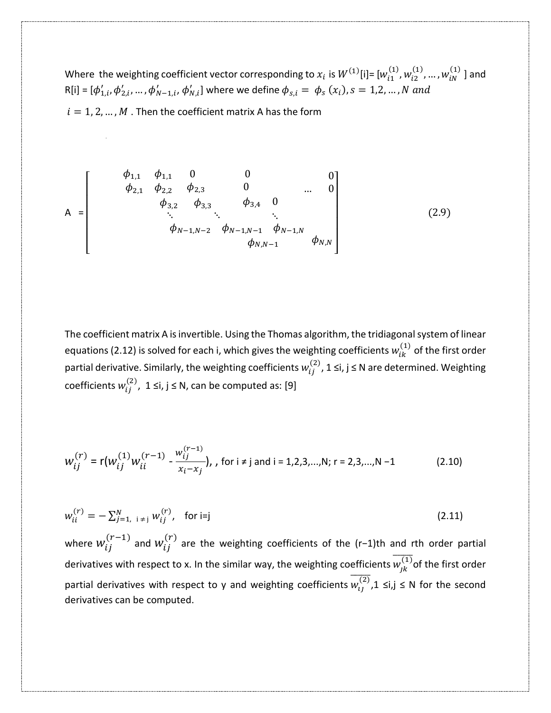Where the weighting coefficient vector corresponding to  $x_i$  is  $W^{(1)}[i]$ =  $[w_{i1}^{(1)}, w_{i2}^{(1)}, ..., w_{iN}^{(1)}$  ] and  $R[i] = [\phi'_{1,i}, \phi'_{2,i}, ..., \phi'_{N-1,i}, \phi'_{N,i}]$  where we define  $\phi_{s,i} = \phi_s(x_i)$ ,  $s = 1,2,...,N$  and  $i = 1, 2, ..., M$ . Then the coefficient matrix A has the form

$$
A = \begin{bmatrix} \phi_{1,1} & \phi_{1,1} & 0 & 0 & 0 \\ \phi_{2,1} & \phi_{2,2} & \phi_{2,3} & 0 & \dots & 0 \\ \phi_{3,2} & \phi_{3,3} & \phi_{3,4} & 0 & \vdots \\ \vdots & \vdots & \ddots & \vdots & \vdots \\ \phi_{N-1,N-2} & \phi_{N-1,N-1} & \phi_{N-1,N} \\ \phi_{N,N-1} & \phi_{N,N} \end{bmatrix}
$$
(2.9)

The coefficient matrix A is invertible. Using the Thomas algorithm, the tridiagonal system of linear equations (2.12) is solved for each i, which gives the weighting coefficients  $w^{(1)}_{ik}$  of the first order partial derivative. Similarly, the weighting coefficients  $w^{(2)}_{ij}$ , 1 ≤i, j ≤ N are determined. Weighting coefficients  $w_{ij}^{(2)}$ , 1 ≤i, j ≤ N, can be computed as: [9]

$$
W_{ij}^{(r)} = r(w_{ij}^{(1)}w_{ii}^{(r-1)} - \frac{w_{ij}^{(r-1)}}{x_i - x_j}), \text{ for } i \neq j \text{ and } i = 1, 2, 3, \dots, N; r = 2, 3, \dots, N-1
$$
 (2.10)

$$
w_{ii}^{(r)} = -\sum_{j=1, i \neq j}^{N} w_{ij}^{(r)}, \quad \text{for } i = j \tag{2.11}
$$

where  $w_{ij}^{(r-1)}$  and  $w_{ij}^{(r)}$  are the weighting coefficients of the (r−1)th and rth order partial derivatives with respect to x. In the similar way, the weighting coefficients  $\overline{w_{jk}^{(1)}}$ of the first order partial derivatives with respect to y and weighting coefficients  $\overline{w_{lj}^{(2)}}$ ,1  $\leq$ i,j  $\leq$  N for the second derivatives can be computed.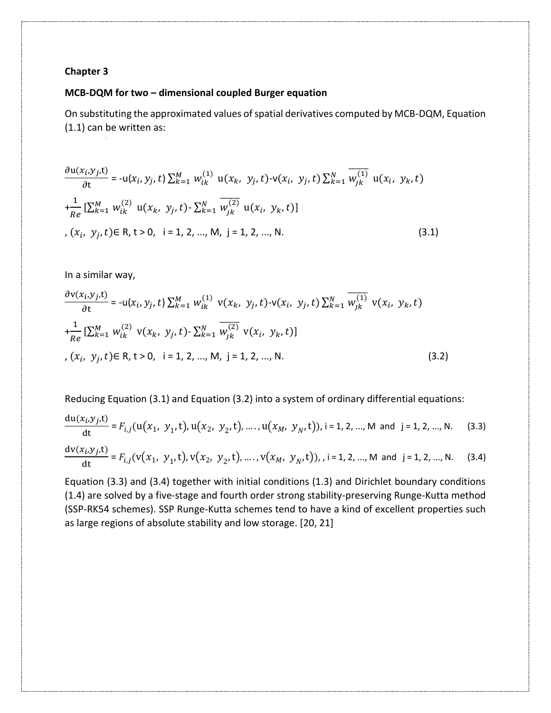### **Chapter 3**

## **MCB-DQM for two – dimensional coupled Burger equation**

On substituting the approximated values of spatial derivatives computed by MCB-DQM, Equation (1.1) can be written as:

$$
\frac{\partial u(x_i, y_j, t)}{\partial t} = -u(x_i, y_j, t) \sum_{k=1}^{M} w_{ik}^{(1)} u(x_k, y_j, t) - v(x_i, y_j, t) \sum_{k=1}^{N} \overline{w_{jk}^{(1)}} u(x_i, y_k, t)
$$
  
+
$$
\frac{1}{Re} [\sum_{k=1}^{M} w_{ik}^{(2)} u(x_k, y_j, t) - \sum_{k=1}^{N} \overline{w_{jk}^{(2)}} u(x_i, y_k, t)]
$$
  
,  $(x_i, y_j, t) \in R, t > 0, i = 1, 2, ..., M, j = 1, 2, ..., N.$  (3.1)

In a similar way,

$$
\frac{\partial v(x_i, y_j, t)}{\partial t} = -u(x_i, y_j, t) \sum_{k=1}^{M} w_{ik}^{(1)} v(x_k, y_j, t) - v(x_i, y_j, t) \sum_{k=1}^{N} \overline{w_{jk}^{(1)}} v(x_i, y_k, t)
$$
  
+
$$
\frac{1}{Re} [\sum_{k=1}^{M} w_{ik}^{(2)} v(x_k, y_j, t) - \sum_{k=1}^{N} \overline{w_{jk}^{(2)}} v(x_i, y_k, t)]
$$
  
,  $(x_i, y_j, t) \in R, t > 0, i = 1, 2, ..., M, j = 1, 2, ..., N.$  (3.2)

Reducing Equation (3.1) and Equation (3.2) into a system of ordinary differential equations:

$$
\frac{du(x_i, y_j, t)}{dt} = F_{i,j}(u(x_1, y_1, t), u(x_2, y_2, t), \dots, u(x_M, y_N, t)), i = 1, 2, \dots, M \text{ and } j = 1, 2, \dots, N. \quad (3.3)
$$
  

$$
\frac{dv(x_i, y_j, t)}{dt} = F_{i,j}(v(x_1, y_1, t), v(x_2, y_2, t), \dots, v(x_M, y_N, t)), i = 1, 2, \dots, M \text{ and } j = 1, 2, \dots, N. \quad (3.4)
$$

Equation (3.3) and (3.4) together with initial conditions (1.3) and Dirichlet boundary conditions (1.4) are solved by a five-stage and fourth order strong stability-preserving Runge-Kutta method (SSP-RK54 schemes). SSP Runge-Kutta schemes tend to have a kind of excellent properties such as large regions of absolute stability and low storage. [20, 21]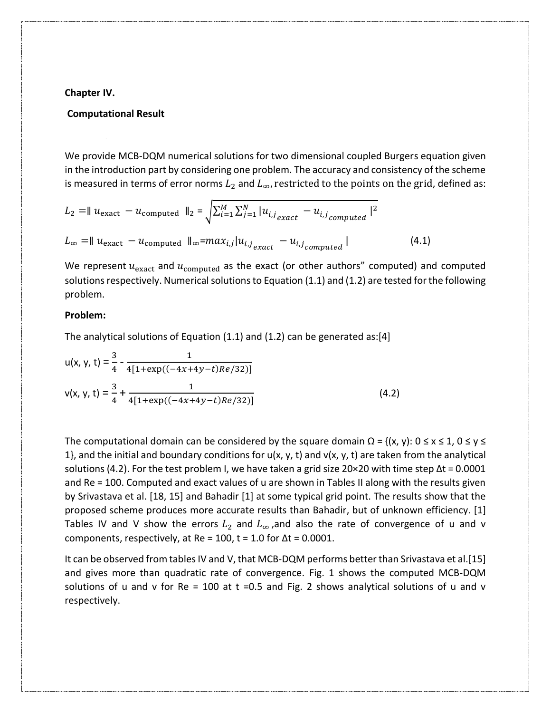#### **Chapter IV.**

### **Computational Result**

We provide MCB-DQM numerical solutions for two dimensional coupled Burgers equation given in the introduction part by considering one problem. The accuracy and consistency of the scheme is measured in terms of error norms  $L_2$  and  $L_{\infty}$ , restricted to the points on the grid, defined as:

$$
L_2 = || u_{\text{exact}} - u_{\text{computed}} ||_2 = \sqrt{\sum_{i=1}^{M} \sum_{j=1}^{N} |u_{i,j_{\text{exact}}} - u_{i,j_{\text{computed}}}|^2}
$$
  

$$
L_{\infty} = || u_{\text{exact}} - u_{\text{computed}} ||_{\infty} = max_{i,j} |u_{i,j_{\text{exact}}} - u_{i,j_{\text{computed}}}|
$$
(4.1)

We represent  $u_{\text{exact}}$  and  $u_{\text{computed}}$  as the exact (or other authors" computed) and computed solutions respectively. Numerical solutions to Equation  $(1.1)$  and  $(1.2)$  are tested for the following problem.

#### **Problem:**

The analytical solutions of Equation (1.1) and (1.2) can be generated as:[4]

$$
u(x, y, t) = \frac{3}{4} - \frac{1}{4[1 + \exp((-4x + 4y - t)Re/32)]}
$$
  

$$
v(x, y, t) = \frac{3}{4} + \frac{1}{4[1 + \exp((-4x + 4y - t)Re/32)]}
$$
(4.2)

The computational domain can be considered by the square domain  $\Omega = \{(x, y): 0 \le x \le 1, 0 \le y \le 1\}$ 1}, and the initial and boundary conditions for  $u(x, y, t)$  and  $v(x, y, t)$  are taken from the analytical solutions (4.2). For the test problem I, we have taken a grid size 20×20 with time step  $\Delta t = 0.0001$ and Re = 100. Computed and exact values of u are shown in Tables II along with the results given by Srivastava et al. [18, 15] and Bahadir [1] at some typical grid point. The results show that the proposed scheme produces more accurate results than Bahadir, but of unknown efficiency. [1] Tables IV and V show the errors  $L_2$  and  $L_{\infty}$ , and also the rate of convergence of u and v components, respectively, at Re = 100, t = 1.0 for  $\Delta t$  = 0.0001.

It can be observed from tables IV and V, that MCB-DQM performs better than Srivastava et al.[15] and gives more than quadratic rate of convergence. Fig. 1 shows the computed MCB-DQM solutions of u and v for  $Re = 100$  at t =0.5 and Fig. 2 shows analytical solutions of u and v respectively.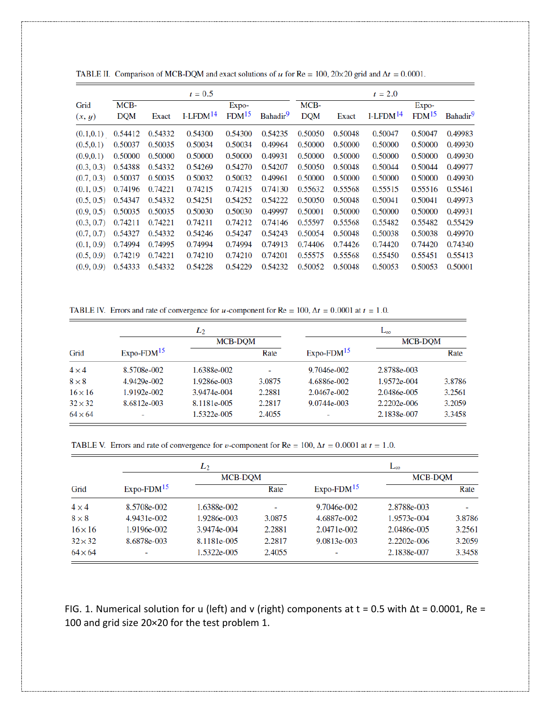|            |            |         | $t = 0.5$  |                   |                      |            |         | $t = 2.0$  |                   |                      |
|------------|------------|---------|------------|-------------------|----------------------|------------|---------|------------|-------------------|----------------------|
| Grid       | MCB-       |         |            | Expo-             |                      | MCB-       |         |            | Expo-             |                      |
| (x, y)     | <b>DQM</b> | Exact   | $I-LFDM14$ | FDM <sup>15</sup> | Bahadir <sup>9</sup> | <b>DOM</b> | Exact   | $I-LFDM14$ | FDM <sup>15</sup> | Bahadir <sup>9</sup> |
| (0.1, 0.1) | 0.54412    | 0.54332 | 0.54300    | 0.54300           | 0.54235              | 0.50050    | 0.50048 | 0.50047    | 0.50047           | 0.49983              |
| (0.5, 0.1) | 0.50037    | 0.50035 | 0.50034    | 0.50034           | 0.49964              | 0.50000    | 0.50000 | 0.50000    | 0.50000           | 0.49930              |
| (0.9, 0.1) | 0.50000    | 0.50000 | 0.50000    | 0.50000           | 0.49931              | 0.50000    | 0.50000 | 0.50000    | 0.50000           | 0.49930              |
| (0.3, 0.3) | 0.54388    | 0.54332 | 0.54269    | 0.54270           | 0.54207              | 0.50050    | 0.50048 | 0.50044    | 0.50044           | 0.49977              |
| (0.7, 0.3) | 0.50037    | 0.50035 | 0.50032    | 0.50032           | 0.49961              | 0.50000    | 0.50000 | 0.50000    | 0.50000           | 0.49930              |
| (0.1, 0.5) | 0.74196    | 0.74221 | 0.74215    | 0.74215           | 0.74130              | 0.55632    | 0.55568 | 0.55515    | 0.55516           | 0.55461              |
| (0.5, 0.5) | 0.54347    | 0.54332 | 0.54251    | 0.54252           | 0.54222              | 0.50050    | 0.50048 | 0.50041    | 0.50041           | 0.49973              |
| (0.9, 0.5) | 0.50035    | 0.50035 | 0.50030    | 0.50030           | 0.49997              | 0.50001    | 0.50000 | 0.50000    | 0.50000           | 0.49931              |
| (0.3, 0.7) | 0.74211    | 0.74221 | 0.74211    | 0.74212           | 0.74146              | 0.55597    | 0.55568 | 0.55482    | 0.55482           | 0.55429              |
| (0.7, 0.7) | 0.54327    | 0.54332 | 0.54246    | 0.54247           | 0.54243              | 0.50054    | 0.50048 | 0.50038    | 0.50038           | 0.49970              |
| (0.1, 0.9) | 0.74994    | 0.74995 | 0.74994    | 0.74994           | 0.74913              | 0.74406    | 0.74426 | 0.74420    | 0.74420           | 0.74340              |
| (0.5, 0.9) | 0.74219    | 0.74221 | 0.74210    | 0.74210           | 0.74201              | 0.55575    | 0.55568 | 0.55450    | 0.55451           | 0.55413              |
| (0.9, 0.9) | 0.54333    | 0.54332 | 0.54228    | 0.54229           | 0.54232              | 0.50052    | 0.50048 | 0.50053    | 0.50053           | 0.50001              |

TABLE II. Comparison of MCB-DQM and exact solutions of u for Re = 100, 20×20 grid and  $\Delta t = 0.0001$ .

TABLE IV. Errors and rate of convergence for *u*-component for Re = 100,  $\Delta t$  = 0.0001 at *t* = 1.0.

|                |              | $L_2$          |        | $L_{\infty}$ |             |        |  |
|----------------|--------------|----------------|--------|--------------|-------------|--------|--|
|                |              | <b>MCB-DOM</b> |        |              | MCB-DOM     |        |  |
| Grid           | $Expo-FDM15$ |                | Rate   | $Expo-FDM15$ |             | Rate   |  |
| $4 \times 4$   | 8.5708e-002  | 1.6388e-002    | ٠      | 9.7046e-002  | 2.8788e-003 |        |  |
| $8 \times 8$   | 4.9429e-002  | 1.9286e-003    | 3.0875 | 4.6886e-002  | 1.9572e-004 | 3.8786 |  |
| $16 \times 16$ | 1.9192e-002  | 3.9474e-004    | 2.2881 | 2.0467e-002  | 2.0486e-005 | 3.2561 |  |
| $32 \times 32$ | 8.6812e-003  | 8.1181e-005    | 2.2817 | 9.0744e-003  | 2.2202e-006 | 3.2059 |  |
| $64 \times 64$ | -            | 1.5322e-005    | 2.4055 | ۰            | 2.1838e-007 | 3.3458 |  |

TABLE V. Errors and rate of convergence for v-component for Re = 100,  $\Delta t = 0.0001$  at  $t = 1.0$ .

|                |              | $L_2$       |                          | L∞                       |             |         |  |
|----------------|--------------|-------------|--------------------------|--------------------------|-------------|---------|--|
|                |              | MCB-DQM     |                          |                          |             | MCB-DQM |  |
| Grid           | $Expo-FDM15$ |             | Rate                     | $Expo-FDM15$             |             | Rate    |  |
| $4 \times 4$   | 8.5708e-002  | 1.6388e-002 | $\overline{\phantom{0}}$ | 9.7046e-002              | 2.8788e-003 | -       |  |
| $8 \times 8$   | 4.9431e-002  | 1.9286e-003 | 3.0875                   | 4.6887e-002              | 1.9573e-004 | 3.8786  |  |
| $16 \times 16$ | 1.9196e-002  | 3.9474e-004 | 2.2881                   | 2.0471e-002              | 2.0486e-005 | 3.2561  |  |
| $32 \times 32$ | 8.6878e-003  | 8.1181e-005 | 2.2817                   | 9.0813e-003              | 2.2202e-006 | 3.2059  |  |
| $64 \times 64$ |              | 1.5322e-005 | 2.4055                   | $\overline{\phantom{0}}$ | 2.1838e-007 | 3.3458  |  |

FIG. 1. Numerical solution for u (left) and v (right) components at t = 0.5 with ∆t = 0.0001, Re = 100 and grid size 20×20 for the test problem 1.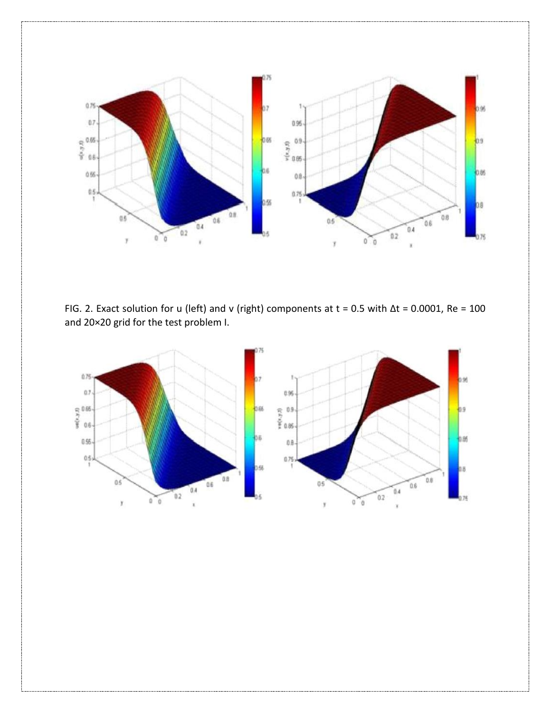

FIG. 2. Exact solution for u (left) and v (right) components at t = 0.5 with ∆t = 0.0001, Re = 100 and 20×20 grid for the test problem I.

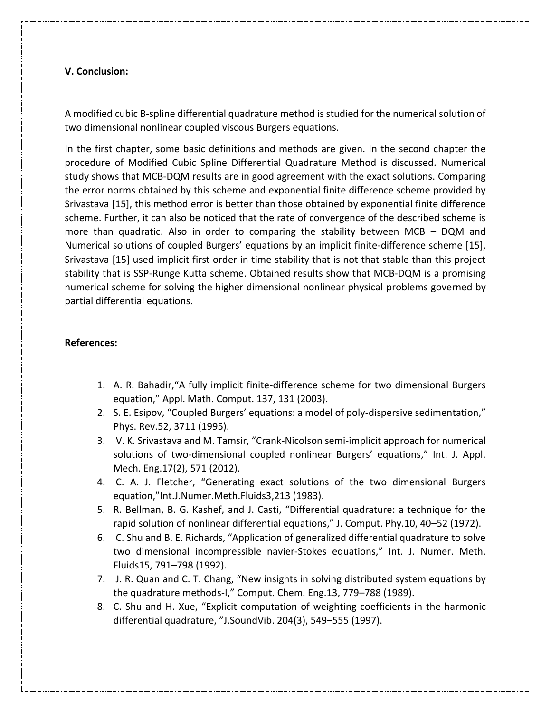# **V. Conclusion:**

A modified cubic B-spline differential quadrature method is studied for the numerical solution of two dimensional nonlinear coupled viscous Burgers equations.

In the first chapter, some basic definitions and methods are given. In the second chapter the procedure of Modified Cubic Spline Differential Quadrature Method is discussed. Numerical study shows that MCB-DQM results are in good agreement with the exact solutions. Comparing the error norms obtained by this scheme and exponential finite difference scheme provided by Srivastava [15], this method error is better than those obtained by exponential finite difference scheme. Further, it can also be noticed that the rate of convergence of the described scheme is more than quadratic. Also in order to comparing the stability between MCB – DQM and Numerical solutions of coupled Burgers' equations by an implicit finite-difference scheme [15], Srivastava [15] used implicit first order in time stability that is not that stable than this project stability that is SSP-Runge Kutta scheme. Obtained results show that MCB-DQM is a promising numerical scheme for solving the higher dimensional nonlinear physical problems governed by partial differential equations.

## **References:**

- 1. A. R. Bahadir,"A fully implicit finite-difference scheme for two dimensional Burgers equation," Appl. Math. Comput. 137, 131 (2003).
- 2. S. E. Esipov, "Coupled Burgers' equations: a model of poly-dispersive sedimentation," Phys. Rev.52, 3711 (1995).
- 3. V. K. Srivastava and M. Tamsir, "Crank-Nicolson semi-implicit approach for numerical solutions of two-dimensional coupled nonlinear Burgers' equations," Int. J. Appl. Mech. Eng.17(2), 571 (2012).
- 4. C. A. J. Fletcher, "Generating exact solutions of the two dimensional Burgers equation,"Int.J.Numer.Meth.Fluids3,213 (1983).
- 5. R. Bellman, B. G. Kashef, and J. Casti, "Differential quadrature: a technique for the rapid solution of nonlinear differential equations," J. Comput. Phy.10, 40–52 (1972).
- 6. C. Shu and B. E. Richards, "Application of generalized differential quadrature to solve two dimensional incompressible navier-Stokes equations," Int. J. Numer. Meth. Fluids15, 791–798 (1992).
- 7. J. R. Quan and C. T. Chang, "New insights in solving distributed system equations by the quadrature methods-I," Comput. Chem. Eng.13, 779–788 (1989).
- 8. C. Shu and H. Xue, "Explicit computation of weighting coefficients in the harmonic differential quadrature, "J.SoundVib. 204(3), 549–555 (1997).